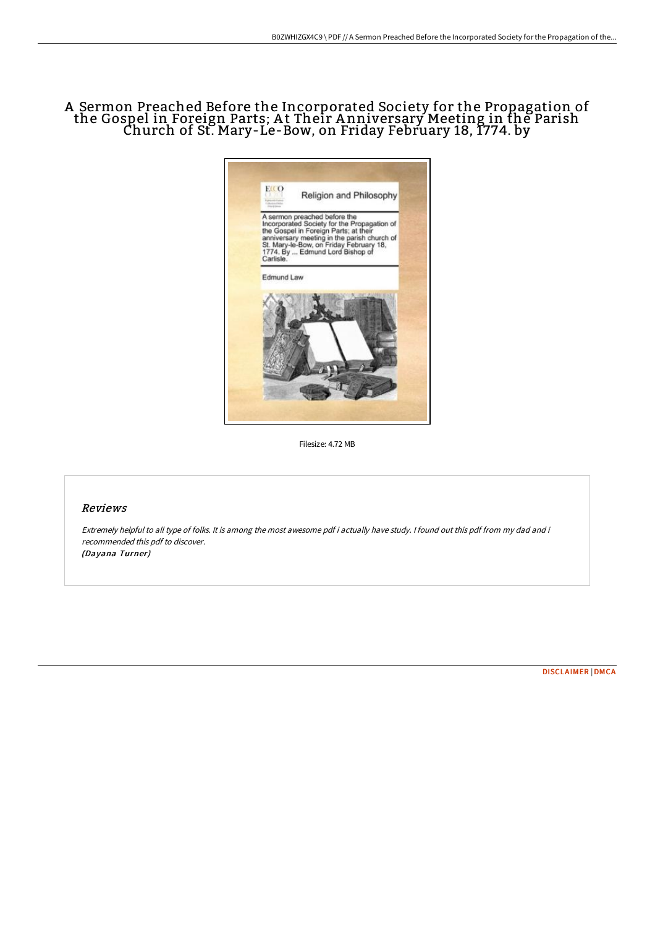# A Sermon Preached Before the Incorporated Society for the Propagation of the Gospel in Foreign Parts; At Their Anniversary Meeting in the Parish Church of St. Mary-Le-Bow, on Friday February 18, 1774. by



Filesize: 4.72 MB

#### Reviews

Extremely helpful to all type of folks. It is among the most awesome pdf i actually have study. <sup>I</sup> found out this pdf from my dad and i recommended this pdf to discover. (Dayana Turner)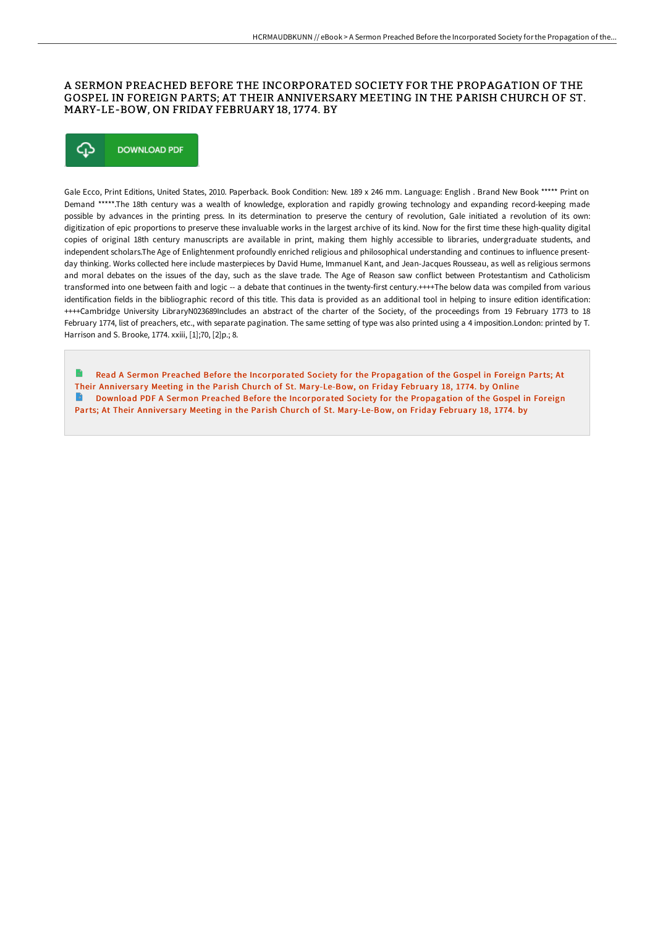## A SERMON PREACHED BEFORE THE INCORPORATED SOCIETY FOR THE PROPAGATION OF THE GOSPEL IN FOREIGN PARTS; AT THEIR ANNIVERSARY MEETING IN THE PARISH CHURCH OF ST. MARY-LE-BOW, ON FRIDAY FEBRUARY 18, 1774. BY



Gale Ecco, Print Editions, United States, 2010. Paperback. Book Condition: New. 189 x 246 mm. Language: English . Brand New Book \*\*\*\*\* Print on Demand \*\*\*\*\*.The 18th century was a wealth of knowledge, exploration and rapidly growing technology and expanding record-keeping made possible by advances in the printing press. In its determination to preserve the century of revolution, Gale initiated a revolution of its own: digitization of epic proportions to preserve these invaluable works in the largest archive of its kind. Now for the first time these high-quality digital copies of original 18th century manuscripts are available in print, making them highly accessible to libraries, undergraduate students, and independent scholars.The Age of Enlightenment profoundly enriched religious and philosophical understanding and continues to influence presentday thinking. Works collected here include masterpieces by David Hume, Immanuel Kant, and Jean-Jacques Rousseau, as well as religious sermons and moral debates on the issues of the day, such as the slave trade. The Age of Reason saw conflict between Protestantism and Catholicism transformed into one between faith and logic -- a debate that continues in the twenty-first century.++++The below data was compiled from various identification fields in the bibliographic record of this title. This data is provided as an additional tool in helping to insure edition identification: ++++Cambridge University LibraryN023689Includes an abstract of the charter of the Society, of the proceedings from 19 February 1773 to 18 February 1774, list of preachers, etc., with separate pagination. The same setting of type was also printed using a 4 imposition.London: printed by T. Harrison and S. Brooke, 1774. xxiii, [1];70, [2]p.; 8.

Read A Sermon Preached Before the [Incorporated](http://albedo.media/a-sermon-preached-before-the-incorporated-societ-2.html) Society for the Propagation of the Gospel in Foreign Parts; At Their Anniversary Meeting in the Parish Church of St. Mary-Le-Bow, on Friday February 18, 1774. by Online **Download PDF A Sermon Preached Before the [Incorporated](http://albedo.media/a-sermon-preached-before-the-incorporated-societ-2.html) Society for the Propagation of the Gospel in Foreign** Parts; At Their Anniversary Meeting in the Parish Church of St. Mary-Le-Bow, on Friday February 18, 1774. by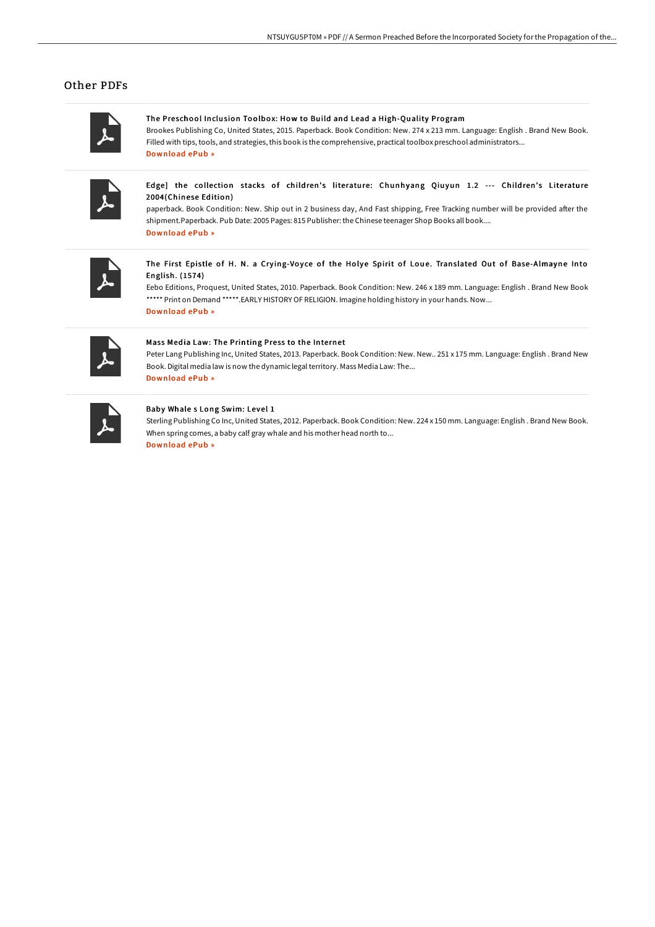### Other PDFs

### The Preschool Inclusion Toolbox: How to Build and Lead a High-Quality Program

Brookes Publishing Co, United States, 2015. Paperback. Book Condition: New. 274 x 213 mm. Language: English . Brand New Book. Filled with tips, tools, and strategies, this book is the comprehensive, practical toolbox preschool administrators... [Download](http://albedo.media/the-preschool-inclusion-toolbox-how-to-build-and.html) ePub »

Edge] the collection stacks of children's literature: Chunhyang Qiuyun 1.2 --- Children's Literature 2004(Chinese Edition)

paperback. Book Condition: New. Ship out in 2 business day, And Fast shipping, Free Tracking number will be provided after the shipment.Paperback. Pub Date: 2005 Pages: 815 Publisher: the Chinese teenager Shop Books all book.... [Download](http://albedo.media/edge-the-collection-stacks-of-children-x27-s-lit.html) ePub »



#### The First Epistle of H. N. a Crying-Voyce of the Holye Spirit of Loue. Translated Out of Base-Almayne Into English. (1574)

Eebo Editions, Proquest, United States, 2010. Paperback. Book Condition: New. 246 x 189 mm. Language: English . Brand New Book \*\*\*\*\* Print on Demand \*\*\*\*\*. EARLY HISTORY OF RELIGION. Imagine holding history in your hands. Now...

[Download](http://albedo.media/the-first-epistle-of-h-n-a-crying-voyce-of-the-h.html) ePub »

#### Mass Media Law: The Printing Press to the Internet

Peter Lang Publishing Inc, United States, 2013. Paperback. Book Condition: New. New.. 251 x 175 mm. Language: English . Brand New Book. Digital media law is now the dynamic legalterritory. Mass Media Law: The... [Download](http://albedo.media/mass-media-law-the-printing-press-to-the-interne.html) ePub »

#### Baby Whale s Long Swim: Level 1

Sterling Publishing Co Inc, United States, 2012. Paperback. Book Condition: New. 224 x 150 mm. Language: English . Brand New Book. When spring comes, a baby calf gray whale and his mother head north to... [Download](http://albedo.media/baby-whale-s-long-swim-level-1-paperback.html) ePub »